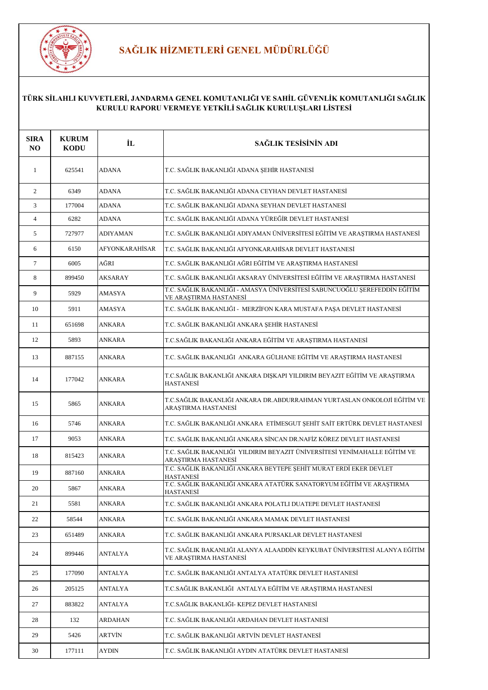

# **SAĞLIK HİZMETLERİ GENEL MÜDÜRLÜĞÜ**

| <b>SIRA</b><br><b>NO</b> | <b>KURUM</b><br><b>KODU</b> | İL              | SAĞLIK TESİSİNİN ADI                                                                                |
|--------------------------|-----------------------------|-----------------|-----------------------------------------------------------------------------------------------------|
| 1                        | 625541                      | <b>ADANA</b>    | T.C. SAĞLIK BAKANLIĞI ADANA ŞEHİR HASTANESİ                                                         |
| 2                        | 6349                        | <b>ADANA</b>    | T.C. SAĞLIK BAKANLIĞI ADANA CEYHAN DEVLET HASTANESİ                                                 |
| 3                        | 177004                      | <b>ADANA</b>    | T.C. SAĞLIK BAKANLIĞI ADANA SEYHAN DEVLET HASTANESİ                                                 |
| $\overline{4}$           | 6282                        | <b>ADANA</b>    | T.C. SAĞLIK BAKANLIĞI ADANA YÜREĞİR DEVLET HASTANESİ                                                |
| 5                        | 727977                      | <b>ADIYAMAN</b> | T.C. SAĞLIK BAKANLIĞI ADIYAMAN ÜNIVERSİTESI EĞİTIM VE ARAŞTIRMA HASTANESI                           |
| 6                        | 6150                        | AFYONKARAHİSAR  | T.C. SAĞLIK BAKANLIĞI AFYONKARAHİSAR DEVLET HASTANESİ                                               |
| $\tau$                   | 6005                        | AĞRI            | T.C. SAĞLIK BAKANLIĞI AĞRI EĞİTİM VE ARAŞTIRMA HASTANESİ                                            |
| 8                        | 899450                      | <b>AKSARAY</b>  | T.C. SAĞLIK BAKANLIĞI AKSARAY ÜNIVERSİTESİ EĞİTİM VE ARAŞTIRMA HASTANESİ                            |
| 9                        | 5929                        | <b>AMASYA</b>   | T.C. SAĞLIK BAKANLIĞI - AMASYA ÜNİVERSİTESİ SABUNCUOĞLU ŞEREFEDDİN EĞİTİM<br>VE ARAŞTIRMA HASTANESİ |
| 10                       | 5911                        | <b>AMASYA</b>   | T.C. SAĞLIK BAKANLIĞI - MERZİFON KARA MUSTAFA PAŞA DEVLET HASTANESİ                                 |
| 11                       | 651698                      | ANKARA          | T.C. SAĞLIK BAKANLIĞI ANKARA ŞEHİR HASTANESİ                                                        |
| 12                       | 5893                        | <b>ANKARA</b>   | T.C.SAĞLIK BAKANLIĞI ANKARA EĞİTİM VE ARAŞTIRMA HASTANESİ                                           |
| 13                       | 887155                      | ANKARA          | T.C. SAĞLIK BAKANLIĞI ANKARA GÜLHANE EĞİTIM VE ARASTIRMA HASTANESİ                                  |
| 14                       | 177042                      | <b>ANKARA</b>   | T.C.SAĞLIK BAKANLIĞI ANKARA DIŞKAPI YILDIRIM BEYAZIT EĞİTİM VE ARAŞTIRMA<br><b>HASTANESI</b>        |
| 15                       | 5865                        | <b>ANKARA</b>   | T.C.SAĞLIK BAKANLIĞI ANKARA DR.ABDURRAHMAN YURTASLAN ONKOLOJİ EĞİTİM VE<br>ARAȘTIRMA HASTANESİ      |
| 16                       | 5746                        | <b>ANKARA</b>   | T.C. SAĞLIK BAKANLIĞI ANKARA ETİMESGUT ŞEHİT SAİT ERTÜRK DEVLET HASTANESİ                           |
| 17                       | 9053                        | ANKARA          | T.C. SAĞLIK BAKANLIĞI ANKARA SİNCAN DR.NAFİZ KÖREZ DEVLET HASTANESİ                                 |
| 18                       | 815423                      | ANKARA          | T.C. SAĞLIK BAKANLIĞI YILDIRIM BEYAZIT ÜNİVERSİTESİ YENİMAHALLE EĞİTİM VE<br>ARAȘTIRMA HASTANESİ    |
| 19                       | 887160                      | <b>ANKARA</b>   | T.C. SAĞLIK BAKANLIĞI ANKARA BEYTEPE ŞEHİT MURAT ERDİ EKER DEVLET<br><b>HASTANESİ</b>               |
| 20                       | 5867                        | <b>ANKARA</b>   | T.C. SAĞLIK BAKANLIĞI ANKARA ATATÜRK SANATORYUM EĞİTİM VE ARAŞTIRMA<br>HASTANESİ                    |
| 21                       | 5581                        | <b>ANKARA</b>   | T.C. SAĞLIK BAKANLIĞI ANKARA POLATLI DUATEPE DEVLET HASTANESİ                                       |
| 22                       | 58544                       | ANKARA          | T.C. SAĞLIK BAKANLIĞI ANKARA MAMAK DEVLET HASTANESİ                                                 |
| 23                       | 651489                      | ANKARA          | T.C. SAĞLIK BAKANLIĞI ANKARA PURSAKLAR DEVLET HASTANESİ                                             |
| 24                       | 899446                      | <b>ANTALYA</b>  | T.C. SAĞLIK BAKANLIĞI ALANYA ALAADDİN KEYKUBAT ÜNİVERSİTESİ ALANYA EĞİTİM<br>VE ARASTIRMA HASTANESİ |
| 25                       | 177090                      | <b>ANTALYA</b>  | T.C. SAĞLIK BAKANLIĞI ANTALYA ATATÜRK DEVLET HASTANESİ                                              |
| 26                       | 205125                      | <b>ANTALYA</b>  | T.C.SAĞLIK BAKANLIĞI ANTALYA EĞİTİM VE ARAŞTIRMA HASTANESİ                                          |
| 27                       | 883822                      | ANTALYA         | T.C.SAĞLIK BAKANLIĞI- KEPEZ DEVLET HASTANESİ                                                        |
| 28                       | 132                         | ARDAHAN         | T.C. SAĞLIK BAKANLIĞI ARDAHAN DEVLET HASTANESİ                                                      |
| 29                       | 5426                        | <b>ARTVİN</b>   | T.C. SAĞLIK BAKANLIĞI ARTVİN DEVLET HASTANESİ                                                       |
| 30                       | 177111                      | <b>AYDIN</b>    | T.C. SAĞLIK BAKANLIĞI AYDIN ATATÜRK DEVLET HASTANESİ                                                |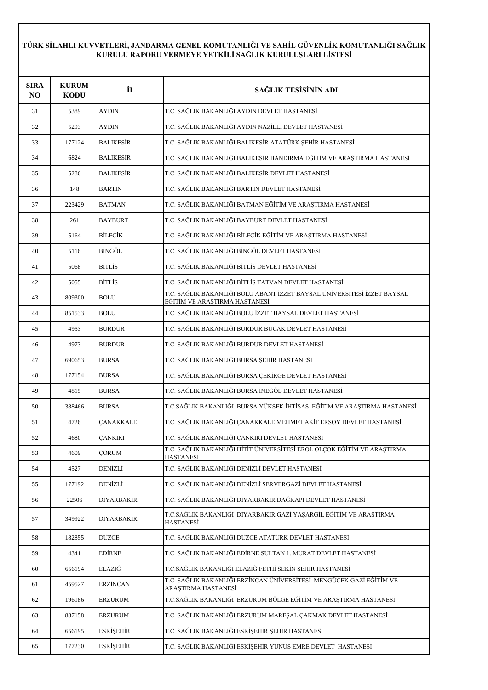| <b>SIRA</b><br>N <sub>O</sub> | <b>KURUM</b><br><b>KODU</b> | İL                | SAĞLIK TESİSİNİN ADI                                                                                     |
|-------------------------------|-----------------------------|-------------------|----------------------------------------------------------------------------------------------------------|
| 31                            | 5389                        | <b>AYDIN</b>      | T.C. SAĞLIK BAKANLIĞI AYDIN DEVLET HASTANESİ                                                             |
| 32                            | 5293                        | <b>AYDIN</b>      | T.C. SAĞLIK BAKANLIĞI AYDIN NAZİLLİ DEVLET HASTANESİ.                                                    |
| 33                            | 177124                      | <b>BALIKESIR</b>  | T.C. SAĞLIK BAKANLIĞI BALIKESİR ATATÜRK ŞEHİR HASTANESİ                                                  |
| 34                            | 6824                        | <b>BALIKESIR</b>  | T.C. SAĞLIK BAKANLIĞI BALIKESİR BANDIRMA EĞİTİM VE ARAŞTIRMA HASTANESİ                                   |
| 35                            | 5286                        | <b>BALIKESIR</b>  | T.C. SAĞLIK BAKANLIĞI BALIKESİR DEVLET HASTANESİ                                                         |
| 36                            | 148                         | <b>BARTIN</b>     | T.C. SAĞLIK BAKANLIĞI BARTIN DEVLET HASTANESİ                                                            |
| 37                            | 223429                      | <b>BATMAN</b>     | T.C. SAĞLIK BAKANLIĞI BATMAN EĞİTİM VE ARAŞTIRMA HASTANESİ                                               |
| 38                            | 261                         | <b>BAYBURT</b>    | T.C. SAĞLIK BAKANLIĞI BAYBURT DEVLET HASTANESİ                                                           |
| 39                            | 5164                        | <b>BİLECİK</b>    | T.C. SAĞLIK BAKANLIĞI BİLECİK EĞİTİM VE ARAŞTIRMA HASTANESİ                                              |
| 40                            | 5116                        | BİNGÖL            | T.C. SAĞLIK BAKANLIĞI BİNGÖL DEVLET HASTANESİ                                                            |
| 41                            | 5068                        | <b>BITLIS</b>     | T.C. SAĞLIK BAKANLIĞI BİTLİS DEVLET HASTANESİ                                                            |
| 42                            | 5055                        | <b>BITLIS</b>     | T.C. SAĞLIK BAKANLIĞI BİTLİS TATVAN DEVLET HASTANESİ                                                     |
| 43                            | 809300                      | <b>BOLU</b>       | T.C. SAĞLIK BAKANLIĞI BOLU ABANT İZZET BAYSAL ÜNİVERSİTESİ İZZET BAYSAL<br>EĞİTİM VE ARAŞTIRMA HASTANESİ |
| 44                            | 851533                      | <b>BOLU</b>       | T.C. SAĞLIK BAKANLIĞI BOLU İZZET BAYSAL DEVLET HASTANESİ                                                 |
| 45                            | 4953                        | <b>BURDUR</b>     | T.C. SAĞLIK BAKANLIĞI BURDUR BUCAK DEVLET HASTANESİ                                                      |
| 46                            | 4973                        | <b>BURDUR</b>     | T.C. SAĞLIK BAKANLIĞI BURDUR DEVLET HASTANESİ                                                            |
| 47                            | 690653                      | <b>BURSA</b>      | T.C. SAĞLIK BAKANLIĞI BURSA ŞEHİR HASTANESİ                                                              |
| 48                            | 177154                      | <b>BURSA</b>      | T.C. SAĞLIK BAKANLIĞI BURSA ÇEKİRGE DEVLET HASTANESİ                                                     |
| 49                            | 4815                        | <b>BURSA</b>      | T.C. SAĞLIK BAKANLIĞI BURSA İNEGÖL DEVLET HASTANESİ                                                      |
| 50                            | 388466                      | <b>BURSA</b>      | T.C.SAĞLIK BAKANLIĞI BURSA YÜKSEK İHTİSAS EĞİTİM VE ARAŞTIRMA HASTANESİ                                  |
| 51                            | 4726                        | CANAKKALE         | T.C. SAĞLIK BAKANLIĞI ÇANAKKALE MEHMET AKİF ERSOY DEVLET HASTANESİ                                       |
| 52                            | 4680                        | <b>CANKIRI</b>    | T.C. SAĞLIK BAKANLIĞI ÇANKIRI DEVLET HASTANESİ                                                           |
| 53                            | 4609                        | <b>CORUM</b>      | T.C. SAĞLIK BAKANLIĞI HİTİT ÜNİVERSİTESİ EROL OLÇOK EĞİTİM VE ARAŞTIRMA<br>HASTANESİ                     |
| 54                            | 4527                        | <b>DENİZLİ</b>    | T.C. SAĞLIK BAKANLIĞI DENİZLİ DEVLET HASTANESİ                                                           |
| 55                            | 177192                      | <b>DENİZLİ</b>    | T.C. SAĞLIK BAKANLIĞI DENİZLİ SERVERGAZİ DEVLET HASTANESİ                                                |
| 56                            | 22506                       | DİYARBAKIR        | T.C. SAĞLIK BAKANLIĞI DİYARBAKIR DAĞKAPI DEVLET HASTANESİ                                                |
| 57                            | 349922                      | <b>DİYARBAKIR</b> | T.C.SAĞLIK BAKANLIĞI  DİYARBAKIR GAZİ YAŞARGİL EĞİTİM VE ARAŞTIRMA<br>HASTANESİ                          |
| 58                            | 182855                      | <b>DÜZCE</b>      | T.C. SAĞLIK BAKANLIĞI DÜZCE ATATÜRK DEVLET HASTANESİ                                                     |
| 59                            | 4341                        | <b>EDİRNE</b>     | T.C. SAĞLIK BAKANLIĞI EDİRNE SULTAN 1. MURAT DEVLET HASTANESİ                                            |
| 60                            | 656194                      | ELAZIĞ            | T.C.SAĞLIK BAKANLIĞI ELAZIĞ FETHİ SEKİN ŞEHİR HASTANESİ                                                  |
| 61                            | 459527                      | <b>ERZINCAN</b>   | T.C. SAĞLIK BAKANLIĞI ERZİNCAN ÜNİVERSİTESİ  MENGÜCEK GAZİ EĞİTİM VE<br>ARAŞTIRMA HASTANESİ              |
| 62                            | 196186                      | <b>ERZURUM</b>    | T.C.SAĞLIK BAKANLIĞI ERZURUM BÖLGE EĞİTİM VE ARAŞTIRMA HASTANESİ                                         |
| 63                            | 887158                      | <b>ERZURUM</b>    | T.C. SAĞLIK BAKANLIĞI ERZURUM MAREŞAL ÇAKMAK DEVLET HASTANESİ                                            |
| 64                            | 656195                      | <b>ESKİŞEHİR</b>  | T.C. SAĞLIK BAKANLIĞI ESKİŞEHİR ŞEHİR HASTANESİ                                                          |
| 65                            | 177230                      | <b>ESKİŞEHİR</b>  | T.C. SAĞLIK BAKANLIĞI ESKİŞEHİR YUNUS EMRE DEVLET HASTANESİ                                              |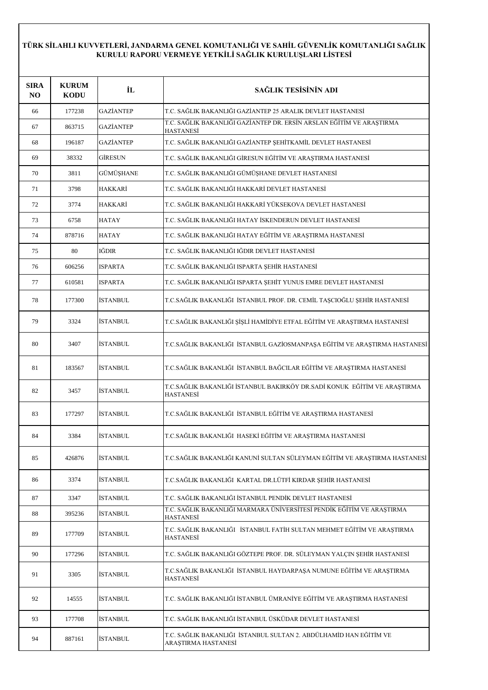| <b>SIRA</b><br>NO. | <b>KURUM</b><br><b>KODU</b> | İL               | SAĞLIK TESİSİNİN ADI                                                                         |
|--------------------|-----------------------------|------------------|----------------------------------------------------------------------------------------------|
| 66                 | 177238                      | <b>GAZİANTEP</b> | T.C. SAĞLIK BAKANLIĞI GAZİANTEP 25 ARALIK DEVLET HASTANESİ                                   |
| 67                 | 863715                      | GAZİANTEP        | T.C. SAĞLIK BAKANLIĞI GAZİANTEP DR. ERSİN ARSLAN EĞİTİM VE ARAŞTIRMA<br><b>HASTANESİ</b>     |
| 68                 | 196187                      | GAZİANTEP        | T.C. SAĞLIK BAKANLIĞI GAZİANTEP ŞEHİTKAMİL DEVLET HASTANESİ                                  |
| 69                 | 38332                       | <b>GİRESUN</b>   | T.C. SAĞLIK BAKANLIĞI GİRESUN EĞİTİM VE ARAŞTIRMA HASTANESİ                                  |
| 70                 | 3811                        | GÜMÜŞHANE        | T.C. SAĞLIK BAKANLIĞI GÜMÜŞHANE DEVLET HASTANESİ                                             |
| 71                 | 3798                        | HAKKARİ          | T.C. SAĞLIK BAKANLIĞI HAKKARİ DEVLET HASTANESİ                                               |
| 72                 | 3774                        | HAKKARİ          | T.C. SAĞLIK BAKANLIĞI HAKKARİ YÜKSEKOVA DEVLET HASTANESİ                                     |
| 73                 | 6758                        | HATAY            | T.C. SAĞLIK BAKANLIĞI HATAY İSKENDERUN DEVLET HASTANESİ                                      |
| 74                 | 878716                      | <b>HATAY</b>     | T.C. SAĞLIK BAKANLIĞI HATAY EĞİTİM VE ARAŞTIRMA HASTANESİ                                    |
| 75                 | 80                          | IĞDIR            | T.C. SAĞLIK BAKANLIĞI IĞDIR DEVLET HASTANESİ                                                 |
| 76                 | 606256                      | <b>ISPARTA</b>   | T.C. SAĞLIK BAKANLIĞI ISPARTA ŞEHİR HASTANESİ                                                |
| 77                 | 610581                      | <b>ISPARTA</b>   | T.C. SAĞLIK BAKANLIĞI ISPARTA ŞEHİT YUNUS EMRE DEVLET HASTANESİ                              |
| 78                 | 177300                      | İSTANBUL         | T.C.SAĞLIK BAKANLIĞI İSTANBUL PROF. DR. CEMİL TAŞCIOĞLU ŞEHİR HASTANESİ                      |
| 79                 | 3324                        | İSTANBUL         | T.C.SAĞLIK BAKANLIĞI ŞİŞLİ HAMİDİYE ETFAL EĞİTİM VE ARAŞTIRMA HASTANESİ                      |
| 80                 | 3407                        | İSTANBUL         | T.C.SAĞLIK BAKANLIĞI İSTANBUL GAZİOSMANPAŞA EĞİTİM VE ARAŞTIRMA HASTANESİ                    |
| 81                 | 183567                      | İSTANBUL         | T.C.SAĞLIK BAKANLIĞI İSTANBUL BAĞCILAR EĞİTİM VE ARAŞTIRMA HASTANESİ                         |
| 82                 | 3457                        | İSTANBUL         | T.C.SAĞLIK BAKANLIĞI İSTANBUL BAKIRKÖY DR.SADİ KONUK EĞİTİM VE ARAŞTIRMA<br><b>HASTANESI</b> |
| 83                 | 177297                      | İSTANBUL         | T.C.SAĞLIK BAKANLIĞI İSTANBUL EĞİTİM VE ARAŞTIRMA HASTANESİ                                  |
| 84                 | 3384                        | İSTANBUL         | T.C.SAĞLIK BAKANLIĞI HASEKİ EĞİTİM VE ARAŞTIRMA HASTANESİ                                    |
| 85                 | 426876                      | İSTANBUL         | T.C.SAĞLIK BAKANLIĞI KANUNİ SULTAN SÜLEYMAN EĞİTİM VE ARAŞTIRMA HASTANESİ                    |
| 86                 | 3374                        | İSTANBUL         | T.C.SAĞLIK BAKANLIĞI KARTAL DR.LÜTFİ KIRDAR ŞEHİR HASTANESİ                                  |
| 87                 | 3347                        | İSTANBUL         | T.C. SAĞLIK BAKANLIĞI İSTANBUL PENDİK DEVLET HASTANESİ                                       |
| 88                 | 395236                      | İSTANBUL         | T.C. SAĞLIK BAKANLIĞI MARMARA ÜNİVERSİTESİ PENDİK EĞİTİM VE ARAŞTIRMA<br><b>HASTANESI</b>    |
| 89                 | 177709                      | İSTANBUL         | T.C. SAĞLIK BAKANLIĞI İSTANBUL FATİH SULTAN MEHMET EĞİTİM VE ARAŞTIRMA<br><b>HASTANESİ</b>   |
| 90                 | 177296                      | İSTANBUL         | T.C. SAĞLIK BAKANLIĞI GÖZTEPE PROF. DR. SÜLEYMAN YALÇIN ŞEHİR HASTANESİ                      |
| 91                 | 3305                        | İSTANBUL         | T.C.SAĞLIK BAKANLIĞI  İSTANBUL HAYDARPAŞA NUMUNE EĞİTİM VE ARAŞTIRMA<br><b>HASTANESİ</b>     |
| 92                 | 14555                       | İSTANBUL         | T.C. SAĞLIK BAKANLIĞI İSTANBUL ÜMRANİYE EĞİTİM VE ARAŞTIRMA HASTANESİ                        |
| 93                 | 177708                      | İSTANBUL         | T.C. SAĞLIK BAKANLIĞI İSTANBUL ÜSKÜDAR DEVLET HASTANESİ                                      |
| 94                 | 887161                      | İSTANBUL         | T.C. SAĞLIK BAKANLIĞI İSTANBUL SULTAN 2. ABDÜLHAMİD HAN EĞİTİM VE<br>ARAȘTIRMA HASTANESİ     |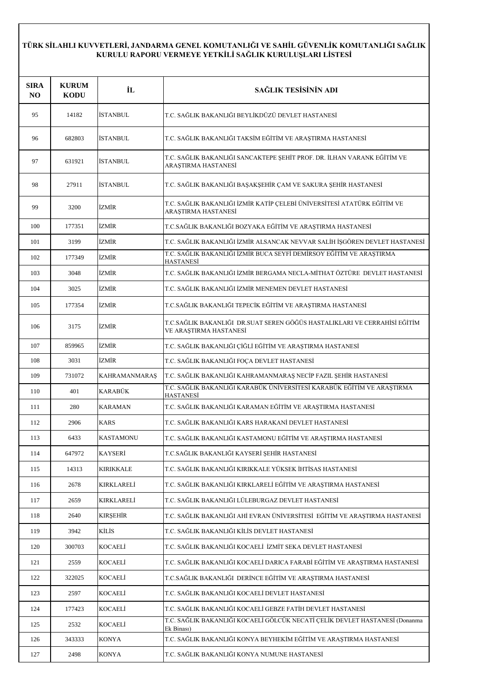| <b>SIRA</b><br>NO. | <b>KURUM</b><br><b>KODU</b> | İL                   | SAĞLIK TESİSİNİN ADI                                                                                |
|--------------------|-----------------------------|----------------------|-----------------------------------------------------------------------------------------------------|
| 95                 | 14182                       | <b>İSTANBUL</b>      | T.C. SAĞLIK BAKANLIĞI BEYLİKDÜZÜ DEVLET HASTANESİ                                                   |
| 96                 | 682803                      | <b>İSTANBUL</b>      | T.C. SAĞLIK BAKANLIĞI TAKSİM EĞİTİM VE ARAŞTIRMA HASTANESİ                                          |
| 97                 | 631921                      | <b>İSTANBUL</b>      | T.C. SAĞLIK BAKANLIĞI SANCAKTEPE ŞEHİT PROF. DR. İLHAN VARANK EĞİTİM VE<br>ARAȘTIRMA HASTANESİ      |
| 98                 | 27911                       | <b>İSTANBUL</b>      | T.C. SAĞLIK BAKANLIĞI BAŞAKŞEHİR ÇAM VE SAKURA ŞEHİR HASTANESİ                                      |
| 99                 | 3200                        | İZMİR                | T.C. SAĞLIK BAKANLIĞI İZMİR KATİP ÇELEBİ ÜNİVERSİTESİ ATATÜRK EĞİTİM VE<br>ARAȘTIRMA HASTANESİ      |
| 100                | 177351                      | İZMİR                | T.C.SAĞLIK BAKANLIĞI BOZYAKA EĞİTİM VE ARAŞTIRMA HASTANESİ                                          |
| 101                | 3199                        | İZMİR                | T.C. SAĞLIK BAKANLIĞI İZMİR ALSANCAK NEVVAR SALİH İŞGÖREN DEVLET HASTANESİ                          |
| 102                | 177349                      | İZMİR                | T.C. SAĞLIK BAKANLIĞI İZMİR BUCA SEYFİ DEMİRSOY EĞİTİM VE ARAŞTIRMA<br>HASTANESİ                    |
| 103                | 3048                        | İZMİR                | T.C. SAĞLIK BAKANLIĞI İZMİR BERGAMA NECLA-MİTHAT ÖZTÜRE DEVLET HASTANESİ                            |
| 104                | 3025                        | İZMİR                | T.C. SAĞLIK BAKANLIĞI İZMİR MENEMEN DEVLET HASTANESİ                                                |
| 105                | 177354                      | İZMİR                | T.C.SAĞLIK BAKANLIĞI TEPECİK EĞİTİM VE ARAŞTIRMA HASTANESİ                                          |
| 106                | 3175                        | <b>İZMİR</b>         | T.C.SAĞLIK BAKANLIĞI DR.SUAT SEREN GÖĞÜS HASTALIKLARI VE CERRAHİSİ EĞİTİM<br>VE ARAȘTIRMA HASTANESİ |
| 107                | 859965                      | <b>İZMİR</b>         | T.C. SAĞLIK BAKANLIĞI ÇİĞLİ EĞİTİM VE ARAŞTIRMA HASTANESİ                                           |
| 108                | 3031                        | İZMİR                | T.C. SAĞLIK BAKANLIĞI FOÇA DEVLET HASTANESİ                                                         |
| 109                | 731072                      | <b>KAHRAMANMARAŞ</b> | T.C. SAĞLIK BAKANLIĞI KAHRAMANMARAŞ NECİP FAZIL ŞEHİR HASTANESİ                                     |
| 110                | 401                         | KARABÜK              | T.C. SAĞLIK BAKANLIĞI KARABÜK ÜNİVERSİTESİ KARABÜK EĞİTİM VE ARAŞTIRMA<br><b>HASTANESI</b>          |
| 111                | 280                         | <b>KARAMAN</b>       | T.C. SAĞLIK BAKANLIĞI KARAMAN EĞİTİM VE ARAŞTIRMA HASTANESİ                                         |
| 112                | 2906                        | <b>KARS</b>          | T.C. SAĞLIK BAKANLIĞI KARS HARAKANİ DEVLET HASTANESİ                                                |
| 113                | 6433                        | <b>KASTAMONU</b>     | T.C. SAĞLIK BAKANLIĞI KASTAMONU EĞİTİM VE ARAŞTIRMA HASTANESİ                                       |
| 114                | 647972                      | <b>KAYSERİ</b>       | T.C.SAĞLIK BAKANLIĞI KAYSERİ ŞEHİR HASTANESİ                                                        |
| 115                | 14313                       | <b>KIRIKKALE</b>     | T.C. SAĞLIK BAKANLIĞI KIRIKKALE YÜKSEK İHTİSAS HASTANESİ                                            |
| 116                | 2678                        | KIRKLARELİ           | T.C. SAĞLIK BAKANLIĞI KIRKLARELİ EĞİTİM VE ARAŞTIRMA HASTANESİ                                      |
| 117                | 2659                        | KIRKLARELİ           | T.C. SAĞLIK BAKANLIĞI LÜLEBURGAZ DEVLET HASTANESİ                                                   |
| 118                | 2640                        | <b>KIRSEHİR</b>      | T.C. SAĞLIK BAKANLIĞI AHI EVRAN ÜNIVERSİTESİ EĞİTIM VE ARAŞTIRMA HASTANESİ                          |
| 119                | 3942                        | KİLİS                | T.C. SAĞLIK BAKANLIĞI KİLİS DEVLET HASTANESİ                                                        |
| 120                | 300703                      | KOCAELİ              | T.C. SAĞLIK BAKANLIĞI KOCAELİ İZMİT SEKA DEVLET HASTANESİ                                           |
| 121                | 2559                        | <b>KOCAELI</b>       | T.C. SAĞLIK BAKANLIĞI KOCAELİ DARICA FARABİ EĞİTİM VE ARAŞTIRMA HASTANESİ                           |
| 122                | 322025                      | KOCAELÍ              | T.C.SAĞLIK BAKANLIĞI DERİNCE EĞİTİM VE ARAŞTIRMA HASTANESİ                                          |
| 123                | 2597                        | KOCAELİ              | T.C. SAĞLIK BAKANLIĞI KOCAELİ DEVLET HASTANESİ                                                      |
| 124                | 177423                      | KOCAELİ              | T.C. SAĞLIK BAKANLIĞI KOCAELİ GEBZE FATİH DEVLET HASTANESİ                                          |
| 125                | 2532                        | KOCAELİ              | T.C. SAĞLIK BAKANLIĞI KOCAELİ GÖLCÜK NECATİ ÇELİK DEVLET HASTANESİ (Donanma<br>Ek Binası)           |
| 126                | 343333                      | <b>KONYA</b>         | T.C. SAĞLIK BAKANLIĞI KONYA BEYHEKİM EĞİTİM VE ARAŞTIRMA HASTANESİ                                  |
| 127                | 2498                        | <b>KONYA</b>         | T.C. SAĞLIK BAKANLIĞI KONYA NUMUNE HASTANESİ                                                        |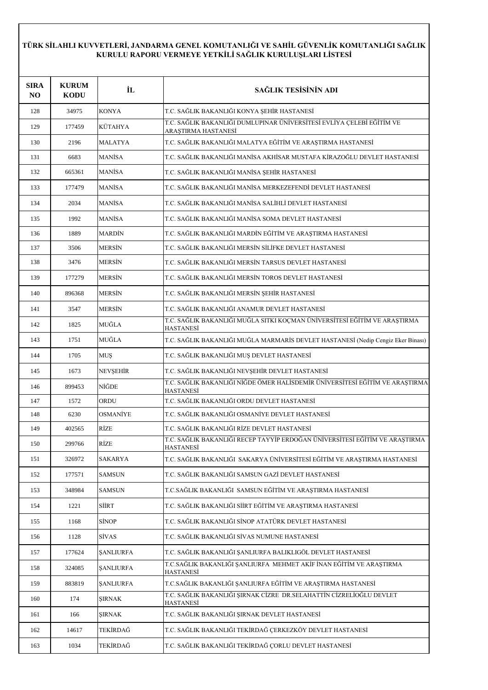| <b>SIRA</b><br>N <sub>O</sub> | <b>KURUM</b><br><b>KODU</b> | İL                      | SAĞLIK TESİSİNİN ADI                                                                             |
|-------------------------------|-----------------------------|-------------------------|--------------------------------------------------------------------------------------------------|
| 128                           | 34975                       | <b>KONYA</b>            | T.C. SAĞLIK BAKANLIĞI KONYA ŞEHİR HASTANESİ                                                      |
| 129                           | 177459                      | KÜTAHYA                 | T.C. SAĞLIK BAKANLIĞI DUMLUPINAR ÜNİVERSİTESİ EVLİYA ÇELEBİ EĞİTİM VE<br>ARAȘTIRMA HASTANESI     |
| 130                           | 2196                        | <b>MALATYA</b>          | T.C. SAĞLIK BAKANLIĞI MALATYA EĞİTİM VE ARAŞTIRMA HASTANESİ                                      |
| 131                           | 6683                        | <b>MANISA</b>           | T.C. SAĞLIK BAKANLIĞI MANİSA AKHİSAR MUSTAFA KİRAZOĞLU DEVLET HASTANESİ                          |
| 132                           | 665361                      | <b>MANISA</b>           | T.C. SAĞLIK BAKANLIĞI MANİSA ŞEHİR HASTANESİ                                                     |
| 133                           | 177479                      | <b>MANISA</b>           | T.C. SAĞLIK BAKANLIĞI MANİSA MERKEZEFENDİ DEVLET HASTANESİ                                       |
| 134                           | 2034                        | <b>MANISA</b>           | T.C. SAĞLIK BAKANLIĞI MANİSA SALİHLİ DEVLET HASTANESİ                                            |
| 135                           | 1992                        | <b>MANISA</b>           | T.C. SAĞLIK BAKANLIĞI MANİSA SOMA DEVLET HASTANESİ                                               |
| 136                           | 1889                        | <b>MARDİN</b>           | T.C. SAĞLIK BAKANLIĞI MARDİN EĞİTİM VE ARAŞTIRMA HASTANESİ                                       |
| 137                           | 3506                        | <b>MERSIN</b>           | T.C. SAĞLIK BAKANLIĞI MERSİN SİLİFKE DEVLET HASTANESİ                                            |
| 138                           | 3476                        | <b>MERSIN</b>           | T.C. SAĞLIK BAKANLIĞI MERSİN TARSUS DEVLET HASTANESİ                                             |
| 139                           | 177279                      | <b>MERSIN</b>           | T.C. SAĞLIK BAKANLIĞI MERSİN TOROS DEVLET HASTANESİ                                              |
| 140                           | 896368                      | <b>MERSIN</b>           | T.C. SAĞLIK BAKANLIĞI MERSİN ŞEHİR HASTANESİ                                                     |
| 141                           | 3547                        | <b>MERSIN</b>           | T.C. SAĞLIK BAKANLIĞI ANAMUR DEVLET HASTANESİ                                                    |
| 142                           | 1825                        | MUĞLA                   | T.C. SAĞLIK BAKANLIĞI MUĞLA SITKI KOÇMAN ÜNİVERSİTESİ EĞİTİM VE ARAŞTIRMA<br>HASTANESİ           |
| 143                           | 1751                        | MUĞLA                   | T.C. SAĞLIK BAKANLIĞI MUĞLA MARMARİS DEVLET HASTANESİ (Nedip Cengiz Eker Binası)                 |
| 144                           | 1705                        | <b>MUS</b>              | T.C. SAĞLIK BAKANLIĞI MUŞ DEVLET HASTANESİ                                                       |
| 145                           | 1673                        | <b>NEVSEHIR</b>         | T.C. SAĞLIK BAKANLIĞI NEVŞEHİR DEVLET HASTANESİ                                                  |
| 146                           | 899453                      | NİĞDE                   | T.C. SAĞLIK BAKANLIĞI NİĞDE ÖMER HALİSDEMİR ÜNİVERSİTESİ EĞİTİM VE ARAŞTIRMA<br><b>HASTANESI</b> |
| 147                           | 1572                        | ORDU                    | T.C. SAĞLIK BAKANLIĞI ORDU DEVLET HASTANESİ                                                      |
| 148                           | 6230                        | OSMANİYE                | T.C. SAĞLIK BAKANLIĞI OSMANİYE DEVLET HASTANESİ                                                  |
| 149                           | 402565                      | RİZE                    | T.C. SAĞLIK BAKANLIĞI RİZE DEVLET HASTANESİ                                                      |
| 150                           | 299766                      | <b>RİZE</b>             | T.C. SAĞLIK BAKANLIĞI RECEP TAYYİP ERDOĞAN ÜNİVERSİTESİ EĞİTİM VE ARAŞTIRMA<br>HASTANESI         |
| 151                           | 326972                      | SAKARYA                 | T.C. SAĞLIK BAKANLIĞI SAKARYA ÜNİVERSİTESİ EĞİTİM VE ARAŞTIRMA HASTANESİ                         |
| 152                           | 177571                      | <b>SAMSUN</b>           | T.C. SAĞLIK BAKANLIĞI SAMSUN GAZİ DEVLET HASTANESİ                                               |
| 153                           | 348984                      | SAMSUN                  | T.C.SAĞLIK BAKANLIĞI SAMSUN EĞİTİM VE ARAŞTIRMA HASTANESİ                                        |
| 154                           | 1221                        | SİİRT                   | T.C. SAĞLIK BAKANLIĞI SİİRT EĞİTİM VE ARAŞTIRMA HASTANESİ                                        |
| 155                           | 1168                        | SİNOP                   | T.C. SAĞLIK BAKANLIĞI SİNOP ATATÜRK DEVLET HASTANESİ                                             |
| 156                           | 1128                        | SİVAS                   | T.C. SAĞLIK BAKANLIĞI SİVAS NUMUNE HASTANESİ                                                     |
| 157                           | 177624                      | <b><i>ŞANLIURFA</i></b> | T.C. SAĞLIK BAKANLIĞI ŞANLIURFA BALIKLIGÖL DEVLET HASTANESİ                                      |
| 158                           | 324085                      | <b><i>ŞANLIURFA</i></b> | T.C.SAĞLIK BAKANLIĞI ŞANLIURFA MEHMET AKİF İNAN EĞİTİM VE ARAŞTIRMA<br>HASTANESİ                 |
| 159                           | 883819                      | <b><i>ŞANLIURFA</i></b> | T.C.SAĞLIK BAKANLIĞI ŞANLIURFA EĞİTİM VE ARAŞTIRMA HASTANESİ                                     |
| 160                           | 174                         | ŞIRNAK                  | T.C. SAĞLIK BAKANLIĞI ŞIRNAK CİZRE DR.SELAHATTİN CİZRELİOĞLU DEVLET<br><u>HASTANESİ</u>          |
| 161                           | 166                         | <b>ŞIRNAK</b>           | T.C. SAĞLIK BAKANLIĞI ŞIRNAK DEVLET HASTANESİ                                                    |
| 162                           | 14617                       | TEKİRDAĞ                | T.C. SAĞLIK BAKANLIĞI TEKİRDAĞ ÇERKEZKÖY DEVLET HASTANESİ                                        |
| 163                           | 1034                        | TEKİRDAĞ                | T.C. SAĞLIK BAKANLIĞI TEKİRDAĞ ÇORLU DEVLET HASTANESİ                                            |